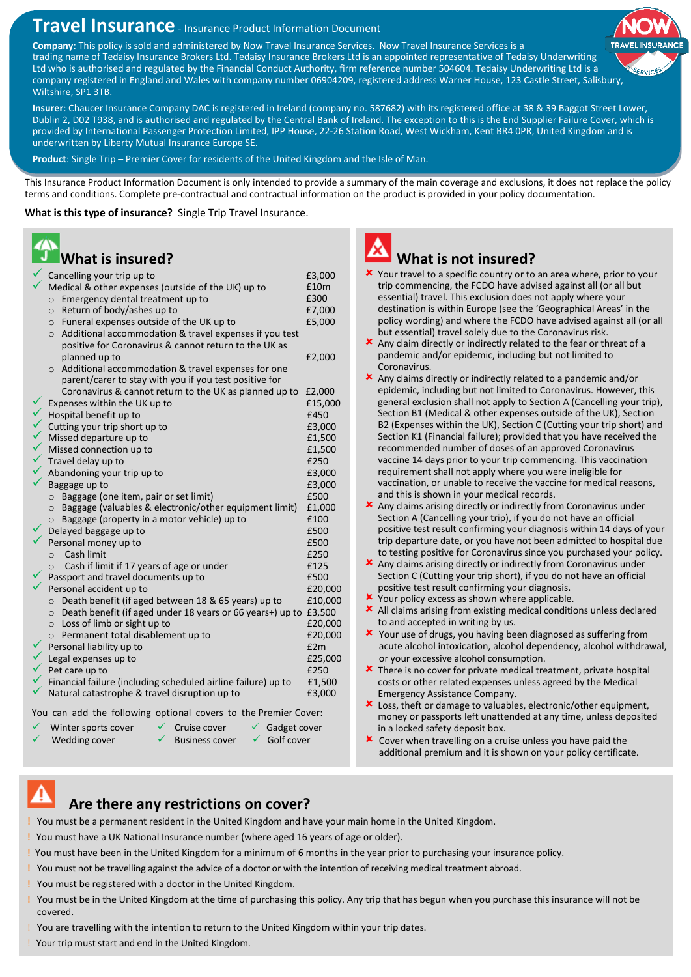# **Travel Insurance** - Insurance Product Information Document

**Company**: This policy is sold and administered by Now Travel Insurance Services. Now Travel Insurance Services is a trading name of Tedaisy Insurance Brokers Ltd. Tedaisy Insurance Brokers Ltd is an appointed representative of Tedaisy Underwriting Ltd who is authorised and regulated by the Financial Conduct Authority, firm reference number 504604. Tedaisy Underwriting Ltd is a company registered in England and Wales with company number 06904209, registered address Warner House, 123 Castle Street, Salisbury, Wiltshire, SP1 3TB.

**Insurer**: Chaucer Insurance Company DAC is registered in Ireland (company no. 587682) with its registered office at 38 & 39 Baggot Street Lower, Dublin 2, D02 T938, and is authorised and regulated by the Central Bank of Ireland. The exception to this is the End Supplier Failure Cover, which is provided by International Passenger Protection Limited, IPP House, 22-26 Station Road, West Wickham, Kent BR4 0PR, United Kingdom and is underwritten by Liberty Mutual Insurance Europe SE.

**Product**: Single Trip – Premier Cover for residents of the United Kingdom and the Isle of Man.

This Insurance Product Information Document is only intended to provide a summary of the main coverage and exclusions, it does not replace the policy terms and conditions. Complete pre-contractual and contractual information on the product is provided in your policy documentation.

**What is this type of insurance?** Single Trip Travel Insurance.

## **What is insured?**

|        | Cancelling your trip up to                                                                                                                                                                           | £3,000             |
|--------|------------------------------------------------------------------------------------------------------------------------------------------------------------------------------------------------------|--------------------|
|        | Medical & other expenses (outside of the UK) up to                                                                                                                                                   | £10m               |
|        | Emergency dental treatment up to<br>$\circ$                                                                                                                                                          | £300               |
|        | Return of body/ashes up to<br>$\circ$                                                                                                                                                                | £7,000             |
|        | o Funeral expenses outside of the UK up to                                                                                                                                                           | £5,000             |
|        | Additional accommodation & travel expenses if you test<br>$\circ$                                                                                                                                    |                    |
|        | positive for Coronavirus & cannot return to the UK as                                                                                                                                                |                    |
|        | planned up to                                                                                                                                                                                        | £2,000             |
|        | $\circ$ Additional accommodation & travel expenses for one<br>parent/carer to stay with you if you test positive for                                                                                 |                    |
|        | Coronavirus & cannot return to the UK as planned up to                                                                                                                                               | £2,000             |
|        | Expenses within the UK up to                                                                                                                                                                         | £15,000            |
|        | Hospital benefit up to                                                                                                                                                                               | £450               |
|        | Cutting your trip short up to                                                                                                                                                                        | £3,000             |
| くくへんへん | Missed departure up to                                                                                                                                                                               | £1,500             |
|        | Missed connection up to                                                                                                                                                                              | £1,500             |
|        | Travel delay up to                                                                                                                                                                                   | £250               |
|        | Abandoning your trip up to                                                                                                                                                                           | £3,000             |
|        | Baggage up to                                                                                                                                                                                        | £3,000             |
|        | ○ Baggage (one item, pair or set limit)                                                                                                                                                              | £500               |
|        | o Baggage (valuables & electronic/other equipment limit)                                                                                                                                             | £1,000             |
|        | $\circ$ Baggage (property in a motor vehicle) up to                                                                                                                                                  | £100               |
|        | Delayed baggage up to                                                                                                                                                                                | £500               |
|        | Personal money up to                                                                                                                                                                                 | £500               |
|        | Cash limit<br>$\circ$                                                                                                                                                                                | £250               |
|        | Cash if limit if 17 years of age or under<br>$\circ$                                                                                                                                                 | £125               |
|        | Passport and travel documents up to                                                                                                                                                                  | £500               |
|        | Personal accident up to                                                                                                                                                                              | £20,000            |
|        | O Death benefit (if aged between 18 & 65 years) up to                                                                                                                                                | £10,000            |
|        | $\circ$ Death benefit (if aged under 18 years or 66 years+) up to £3,500                                                                                                                             |                    |
|        | $\circ$ Loss of limb or sight up to<br>o Permanent total disablement up to                                                                                                                           | £20,000<br>£20,000 |
|        |                                                                                                                                                                                                      | E2m                |
|        |                                                                                                                                                                                                      | £25,000            |
|        | V<br>Legal expenses up to<br>V<br>Pet care up to<br>Pet care up to<br>Financial failure (including scheduled airline failure) up to<br>Financial failure (including scheduled airline failure) up to | £250               |
|        |                                                                                                                                                                                                      | £1,500             |
|        |                                                                                                                                                                                                      | £3,000             |
|        |                                                                                                                                                                                                      |                    |

You can add the following optional covers to the Premier Cover:

Winter sports cover  $\checkmark$  Cruise cover  $\checkmark$  Gadget cover Wedding cover  $\checkmark$  Business cover  $\checkmark$  Golf cover



## **What is not insured?**

- Your travel to a specific country or to an area where, prior to your trip commencing, the FCDO have advised against all (or all but essential) travel. This exclusion does not apply where your destination is within Europe (see the 'Geographical Areas' in the policy wording) and where the FCDO have advised against all (or all but essential) travel solely due to the Coronavirus risk.
- Any claim directly or indirectly related to the fear or threat of a pandemic and/or epidemic, including but not limited to Coronavirus.
- Any claims directly or indirectly related to a pandemic and/or epidemic, including but not limited to Coronavirus. However, this general exclusion shall not apply to Section A (Cancelling your trip), Section B1 (Medical & other expenses outside of the UK), Section B2 (Expenses within the UK), Section C (Cutting your trip short) and Section K1 (Financial failure); provided that you have received the recommended number of doses of an approved Coronavirus vaccine 14 days prior to your trip commencing. This vaccination requirement shall not apply where you were ineligible for vaccination, or unable to receive the vaccine for medical reasons, and this is shown in your medical records.
- Any claims arising directly or indirectly from Coronavirus under Section A (Cancelling your trip), if you do not have an official positive test result confirming your diagnosis within 14 days of your trip departure date, or you have not been admitted to hospital due to testing positive for Coronavirus since you purchased your policy.
- Any claims arising directly or indirectly from Coronavirus under Section C (Cutting your trip short), if you do not have an official positive test result confirming your diagnosis.
- **x** Your policy excess as shown where applicable.
- All claims arising from existing medical conditions unless declared to and accepted in writing by us.
- Your use of drugs, you having been diagnosed as suffering from acute alcohol intoxication, alcohol dependency, alcohol withdrawal, or your excessive alcohol consumption.
- **\*** There is no cover for private medical treatment, private hospital costs or other related expenses unless agreed by the Medical Emergency Assistance Company.
- Loss, theft or damage to valuables, electronic/other equipment, money or passports left unattended at any time, unless deposited in a locked safety deposit box.
- **x** Cover when travelling on a cruise unless you have paid the additional premium and it is shown on your policy certificate.

### **Are there any restrictions on cover?**

**!** You must be a permanent resident in the United Kingdom and have your main home in the United Kingdom.

- **!** You must have a UK National Insurance number (where aged 16 years of age or older).
- **!** You must have been in the United Kingdom for a minimum of 6 months in the year prior to purchasing your insurance policy.
- **!** You must not be travelling against the advice of a doctor or with the intention of receiving medical treatment abroad.
- **!** You must be registered with a doctor in the United Kingdom.
- **!** You must be in the United Kingdom at the time of purchasing this policy. Any trip that has begun when you purchase this insurance will not be covered.
- ! You are travelling with the intention to return to the United Kingdom within your trip dates.
- ! Your trip must start and end in the United Kingdom.